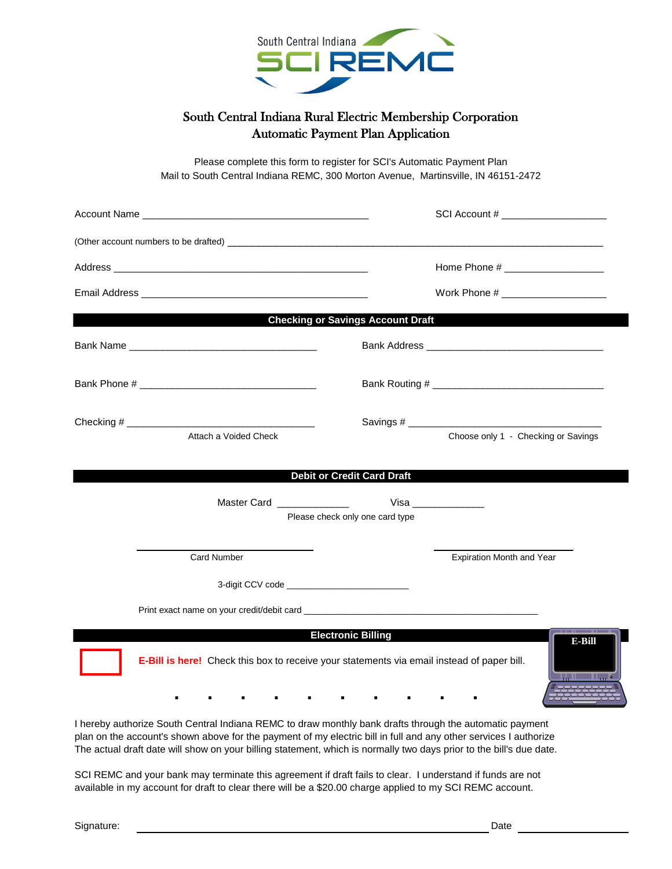

## South Central Indiana Rural Electric Membership Corporation Automatic Payment Plan Application

Please complete this form to register for SCI's Automatic Payment Plan Mail to South Central Indiana REMC, 300 Morton Avenue, Martinsville, IN 46151-2472

|                                                                                                                                                                                                                                                                                                                                                    | SCI Account # ____________________                                                                                                                                                                                             |
|----------------------------------------------------------------------------------------------------------------------------------------------------------------------------------------------------------------------------------------------------------------------------------------------------------------------------------------------------|--------------------------------------------------------------------------------------------------------------------------------------------------------------------------------------------------------------------------------|
|                                                                                                                                                                                                                                                                                                                                                    |                                                                                                                                                                                                                                |
|                                                                                                                                                                                                                                                                                                                                                    | Home Phone # ___________________                                                                                                                                                                                               |
|                                                                                                                                                                                                                                                                                                                                                    |                                                                                                                                                                                                                                |
|                                                                                                                                                                                                                                                                                                                                                    | <b>Checking or Savings Account Draft</b>                                                                                                                                                                                       |
| Bank Name Name and the state of the state of the state of the state of the state of the state of the state of the state of the state of the state of the state of the state of the state of the state of the state of the stat                                                                                                                     | Bank Address and the control of the control of the control of the control of the control of the control of the control of the control of the control of the control of the control of the control of the control of the contro |
|                                                                                                                                                                                                                                                                                                                                                    |                                                                                                                                                                                                                                |
| Attach a Voided Check                                                                                                                                                                                                                                                                                                                              | Choose only 1 - Checking or Savings                                                                                                                                                                                            |
|                                                                                                                                                                                                                                                                                                                                                    | <b>Debit or Credit Card Draft</b>                                                                                                                                                                                              |
| Master Card _______________                                                                                                                                                                                                                                                                                                                        | Please check only one card type                                                                                                                                                                                                |
| <b>Card Number</b>                                                                                                                                                                                                                                                                                                                                 | Expiration Month and Year                                                                                                                                                                                                      |
| 3-digit CCV code _______________________________                                                                                                                                                                                                                                                                                                   |                                                                                                                                                                                                                                |
|                                                                                                                                                                                                                                                                                                                                                    |                                                                                                                                                                                                                                |
| E-Bill is here! Check this box to receive your statements via email instead of paper bill.                                                                                                                                                                                                                                                         | <b>Electronic Billing</b><br>E-Bill<br>المادا                                                                                                                                                                                  |
| I hereby authorize South Central Indiana REMC to draw monthly bank drafts through the automatic payment<br>plan on the account's shown above for the payment of my electric bill in full and any other services I authorize<br>The actual draft date will show on your billing statement, which is normally two days prior to the bill's due date. |                                                                                                                                                                                                                                |

SCI REMC and your bank may terminate this agreement if draft fails to clear. I understand if funds are not available in my account for draft to clear there will be a \$20.00 charge applied to my SCI REMC account.